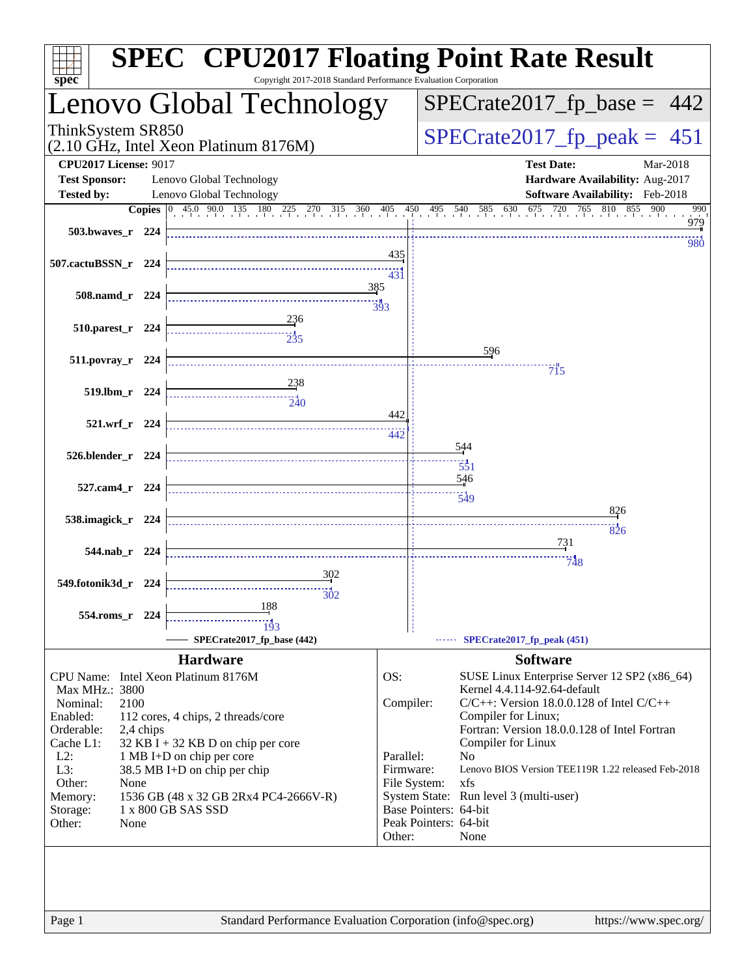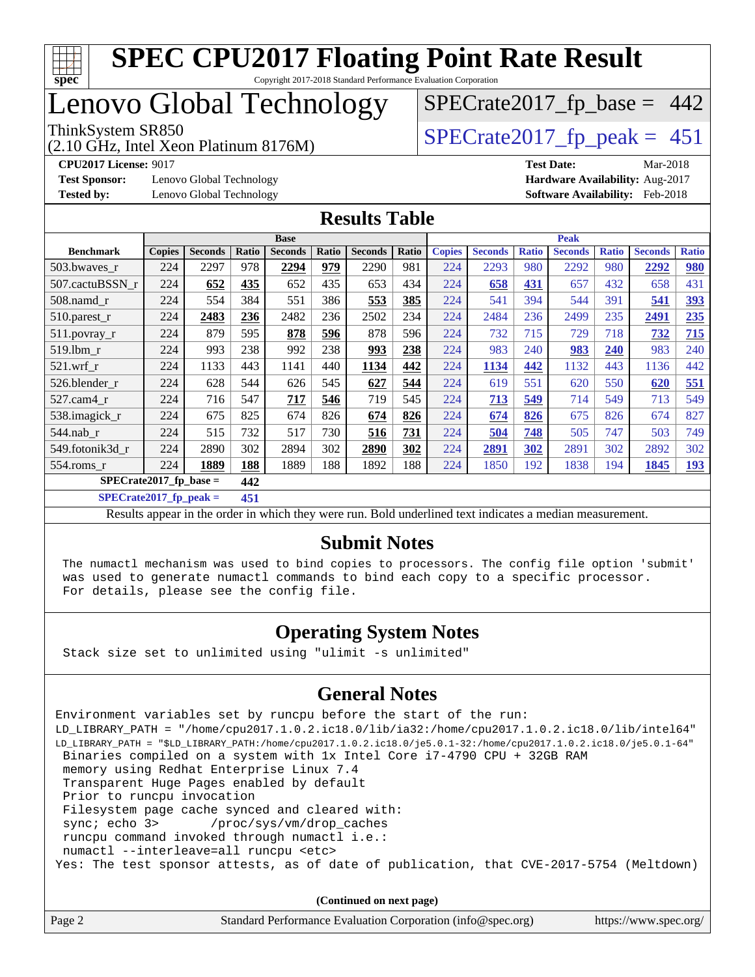

# Lenovo Global Technology

(2.10 GHz, Intel Xeon Platinum 8176M)

 $SPECTate2017_fp\_peak = 451$ 

 $SPECTate2017_fp\_base = 442$ 

**[Test Sponsor:](http://www.spec.org/auto/cpu2017/Docs/result-fields.html#TestSponsor)** Lenovo Global Technology **[Hardware Availability:](http://www.spec.org/auto/cpu2017/Docs/result-fields.html#HardwareAvailability)** Aug-2017

**[CPU2017 License:](http://www.spec.org/auto/cpu2017/Docs/result-fields.html#CPU2017License)** 9017 **[Test Date:](http://www.spec.org/auto/cpu2017/Docs/result-fields.html#TestDate)** Mar-2018 **[Tested by:](http://www.spec.org/auto/cpu2017/Docs/result-fields.html#Testedby)** Lenovo Global Technology **[Software Availability:](http://www.spec.org/auto/cpu2017/Docs/result-fields.html#SoftwareAvailability)** Feb-2018

#### **[Results Table](http://www.spec.org/auto/cpu2017/Docs/result-fields.html#ResultsTable)**

|                           | <b>Base</b>   |                |       |                | <b>Peak</b> |                |       |               |                |              |                |              |                |              |
|---------------------------|---------------|----------------|-------|----------------|-------------|----------------|-------|---------------|----------------|--------------|----------------|--------------|----------------|--------------|
| <b>Benchmark</b>          | <b>Copies</b> | <b>Seconds</b> | Ratio | <b>Seconds</b> | Ratio       | <b>Seconds</b> | Ratio | <b>Copies</b> | <b>Seconds</b> | <b>Ratio</b> | <b>Seconds</b> | <b>Ratio</b> | <b>Seconds</b> | <b>Ratio</b> |
| 503.bwaves_r              | 224           | 2297           | 978   | 2294           | 979         | 2290           | 981   | 224           | 2293           | 980          | 2292           | 980          | 2292           | 980          |
| 507.cactuBSSN r           | 224           | 652            | 435   | 652            | 435         | 653            | 434   | 224           | 658            | 431          | 657            | 432          | 658            | 431          |
| $508$ .namd $r$           | 224           | 554            | 384   | 551            | 386         | 553            | 385   | 224           | 541            | 394          | 544            | 391          | 541            | <u>393</u>   |
| 510.parest_r              | 224           | 2483           | 236   | 2482           | 236         | 2502           | 234   | 224           | 2484           | 236          | 2499           | 235          | 2491           | 235          |
| 511.povray_r              | 224           | 879            | 595   | 878            | 596         | 878            | 596   | 224           | 732            | 715          | 729            | 718          | 732            | 715          |
| 519.1bm_r                 | 224           | 993            | 238   | 992            | 238         | 993            | 238   | 224           | 983            | 240          | 983            | 240          | 983            | 240          |
| $521$ .wrf r              | 224           | 1133           | 443   | 1141           | 440         | 1134           | 442   | 224           | 1134           | 442          | 1132           | 443          | 1136           | 442          |
| 526.blender r             | 224           | 628            | 544   | 626            | 545         | 627            | 544   | 224           | 619            | 551          | 620            | 550          | 620            | 551          |
| $527.cam4_r$              | 224           | 716            | 547   | 717            | 546         | 719            | 545   | 224           | 713            | 549          | 714            | 549          | 713            | 549          |
| 538.imagick_r             | 224           | 675            | 825   | 674            | 826         | 674            | 826   | 224           | 674            | 826          | 675            | 826          | 674            | 827          |
| $544$ .nab r              | 224           | 515            | 732   | 517            | 730         | 516            | 731   | 224           | 504            | 748          | 505            | 747          | 503            | 749          |
| 549.fotonik3d r           | 224           | 2890           | 302   | 2894           | 302         | 2890           | 302   | 224           | 2891           | 302          | 2891           | 302          | 2892           | 302          |
| 554.roms r                | 224           | 1889           | 188   | 1889           | 188         | 1892           | 188   | 224           | 1850           | 192          | 1838           | 194          | 1845           | <u>193</u>   |
| $SPECrate2017_fp\_base =$ |               |                | 442   |                |             |                |       |               |                |              |                |              |                |              |

**[SPECrate2017\\_fp\\_peak =](http://www.spec.org/auto/cpu2017/Docs/result-fields.html#SPECrate2017fppeak) 451**

Results appear in the [order in which they were run](http://www.spec.org/auto/cpu2017/Docs/result-fields.html#RunOrder). Bold underlined text [indicates a median measurement](http://www.spec.org/auto/cpu2017/Docs/result-fields.html#Median).

#### **[Submit Notes](http://www.spec.org/auto/cpu2017/Docs/result-fields.html#SubmitNotes)**

 The numactl mechanism was used to bind copies to processors. The config file option 'submit' was used to generate numactl commands to bind each copy to a specific processor. For details, please see the config file.

#### **[Operating System Notes](http://www.spec.org/auto/cpu2017/Docs/result-fields.html#OperatingSystemNotes)**

Stack size set to unlimited using "ulimit -s unlimited"

#### **[General Notes](http://www.spec.org/auto/cpu2017/Docs/result-fields.html#GeneralNotes)**

Environment variables set by runcpu before the start of the run: LD\_LIBRARY\_PATH = "/home/cpu2017.1.0.2.ic18.0/lib/ia32:/home/cpu2017.1.0.2.ic18.0/lib/intel64" LD\_LIBRARY\_PATH = "\$LD\_LIBRARY\_PATH:/home/cpu2017.1.0.2.ic18.0/je5.0.1-32:/home/cpu2017.1.0.2.ic18.0/je5.0.1-64" Binaries compiled on a system with 1x Intel Core i7-4790 CPU + 32GB RAM memory using Redhat Enterprise Linux 7.4 Transparent Huge Pages enabled by default Prior to runcpu invocation Filesystem page cache synced and cleared with: sync; echo 3> /proc/sys/vm/drop\_caches runcpu command invoked through numactl i.e.: numactl --interleave=all runcpu <etc> Yes: The test sponsor attests, as of date of publication, that CVE-2017-5754 (Meltdown)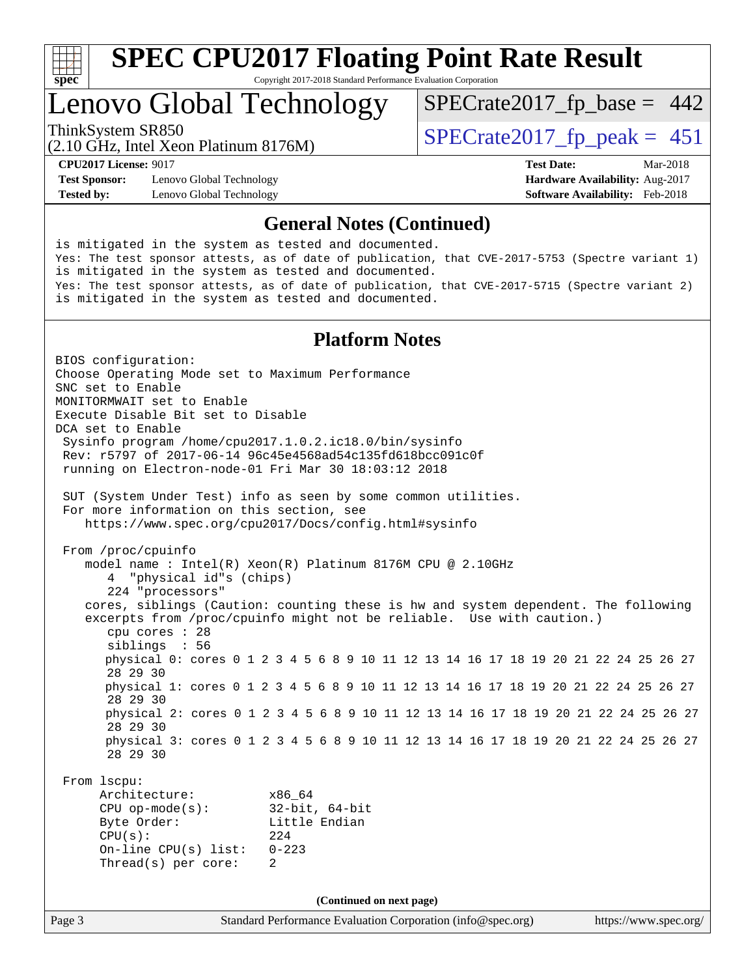

Copyright 2017-2018 Standard Performance Evaluation Corporation

### Lenovo Global Technology

(2.10 GHz, Intel Xeon Platinum 8176M)

ThinkSystem SR850<br>  $\frac{1}{2}$  [SPECrate2017\\_fp\\_peak =](http://www.spec.org/auto/cpu2017/Docs/result-fields.html#SPECrate2017fppeak) 451

 $SPECTate2017_fp\_base = 442$ 

**[Test Sponsor:](http://www.spec.org/auto/cpu2017/Docs/result-fields.html#TestSponsor)** Lenovo Global Technology **[Hardware Availability:](http://www.spec.org/auto/cpu2017/Docs/result-fields.html#HardwareAvailability)** Aug-2017 **[Tested by:](http://www.spec.org/auto/cpu2017/Docs/result-fields.html#Testedby)** Lenovo Global Technology **[Software Availability:](http://www.spec.org/auto/cpu2017/Docs/result-fields.html#SoftwareAvailability)** Feb-2018

**[CPU2017 License:](http://www.spec.org/auto/cpu2017/Docs/result-fields.html#CPU2017License)** 9017 **[Test Date:](http://www.spec.org/auto/cpu2017/Docs/result-fields.html#TestDate)** Mar-2018

#### **[General Notes \(Continued\)](http://www.spec.org/auto/cpu2017/Docs/result-fields.html#GeneralNotes)**

is mitigated in the system as tested and documented. Yes: The test sponsor attests, as of date of publication, that CVE-2017-5753 (Spectre variant 1) is mitigated in the system as tested and documented. Yes: The test sponsor attests, as of date of publication, that CVE-2017-5715 (Spectre variant 2) is mitigated in the system as tested and documented.

#### **[Platform Notes](http://www.spec.org/auto/cpu2017/Docs/result-fields.html#PlatformNotes)**

Page 3 Standard Performance Evaluation Corporation [\(info@spec.org\)](mailto:info@spec.org) <https://www.spec.org/> BIOS configuration: Choose Operating Mode set to Maximum Performance SNC set to Enable MONITORMWAIT set to Enable Execute Disable Bit set to Disable DCA set to Enable Sysinfo program /home/cpu2017.1.0.2.ic18.0/bin/sysinfo Rev: r5797 of 2017-06-14 96c45e4568ad54c135fd618bcc091c0f running on Electron-node-01 Fri Mar 30 18:03:12 2018 SUT (System Under Test) info as seen by some common utilities. For more information on this section, see <https://www.spec.org/cpu2017/Docs/config.html#sysinfo> From /proc/cpuinfo model name : Intel(R) Xeon(R) Platinum 8176M CPU @ 2.10GHz 4 "physical id"s (chips) 224 "processors" cores, siblings (Caution: counting these is hw and system dependent. The following excerpts from /proc/cpuinfo might not be reliable. Use with caution.) cpu cores : 28 siblings : 56 physical 0: cores 0 1 2 3 4 5 6 8 9 10 11 12 13 14 16 17 18 19 20 21 22 24 25 26 27 28 29 30 physical 1: cores 0 1 2 3 4 5 6 8 9 10 11 12 13 14 16 17 18 19 20 21 22 24 25 26 27 28 29 30 physical 2: cores 0 1 2 3 4 5 6 8 9 10 11 12 13 14 16 17 18 19 20 21 22 24 25 26 27 28 29 30 physical 3: cores 0 1 2 3 4 5 6 8 9 10 11 12 13 14 16 17 18 19 20 21 22 24 25 26 27 28 29 30 From lscpu: Architecture: x86\_64 CPU op-mode(s): 32-bit, 64-bit Byte Order: Little Endian CPU(s): 224 On-line CPU(s) list: 0-223 Thread(s) per core: 2 **(Continued on next page)**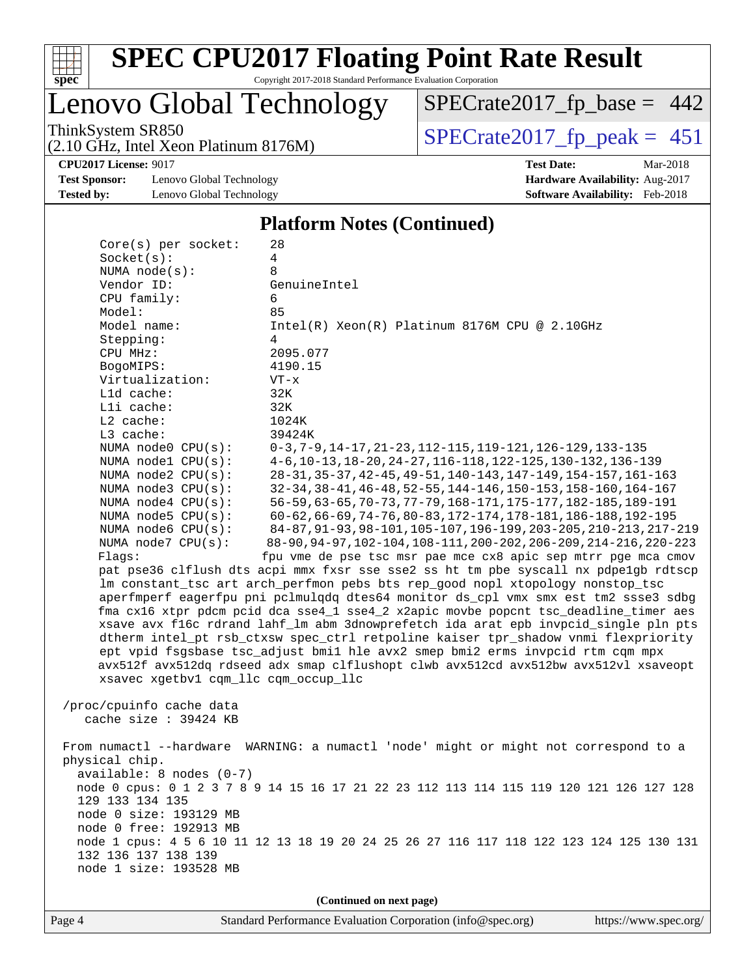

Copyright 2017-2018 Standard Performance Evaluation Corporation

### Lenovo Global Technology

(2.10 GHz, Intel Xeon Platinum 8176M)

ThinkSystem SR850<br>  $(2.10 \text{ GHz})$  Intel Xeon Platinum 8176M) [SPECrate2017\\_fp\\_peak =](http://www.spec.org/auto/cpu2017/Docs/result-fields.html#SPECrate2017fppeak) 451

[SPECrate2017\\_fp\\_base =](http://www.spec.org/auto/cpu2017/Docs/result-fields.html#SPECrate2017fpbase) 442

**[Test Sponsor:](http://www.spec.org/auto/cpu2017/Docs/result-fields.html#TestSponsor)** Lenovo Global Technology **[Hardware Availability:](http://www.spec.org/auto/cpu2017/Docs/result-fields.html#HardwareAvailability)** Aug-2017 **[Tested by:](http://www.spec.org/auto/cpu2017/Docs/result-fields.html#Testedby)** Lenovo Global Technology **[Software Availability:](http://www.spec.org/auto/cpu2017/Docs/result-fields.html#SoftwareAvailability)** Feb-2018

**[CPU2017 License:](http://www.spec.org/auto/cpu2017/Docs/result-fields.html#CPU2017License)** 9017 **[Test Date:](http://www.spec.org/auto/cpu2017/Docs/result-fields.html#TestDate)** Mar-2018

#### **[Platform Notes \(Continued\)](http://www.spec.org/auto/cpu2017/Docs/result-fields.html#PlatformNotes)**

| $Core(s)$ per socket:                | 28                                                                                      |  |  |  |  |  |
|--------------------------------------|-----------------------------------------------------------------------------------------|--|--|--|--|--|
| Socket(s):                           | 4                                                                                       |  |  |  |  |  |
| NUMA $node(s)$ :                     | 8                                                                                       |  |  |  |  |  |
| Vendor ID:                           | GenuineIntel                                                                            |  |  |  |  |  |
| CPU family:                          | 6                                                                                       |  |  |  |  |  |
| Model:                               | 85                                                                                      |  |  |  |  |  |
| Model name:                          | Intel(R) Xeon(R) Platinum 8176M CPU @ 2.10GHz                                           |  |  |  |  |  |
| Stepping:                            | 4                                                                                       |  |  |  |  |  |
| CPU MHz:                             | 2095.077                                                                                |  |  |  |  |  |
| BogoMIPS:                            | 4190.15                                                                                 |  |  |  |  |  |
| Virtualization:                      | $VT - x$                                                                                |  |  |  |  |  |
| L1d cache:                           | 32K                                                                                     |  |  |  |  |  |
| Lli cache:                           | 32K                                                                                     |  |  |  |  |  |
| $L2$ cache:                          | 1024K                                                                                   |  |  |  |  |  |
| L3 cache:                            | 39424K                                                                                  |  |  |  |  |  |
| NUMA node0 CPU(s):                   | $0-3, 7-9, 14-17, 21-23, 112-115, 119-121, 126-129, 133-135$                            |  |  |  |  |  |
| NUMA node1 CPU(s):                   | 4-6, 10-13, 18-20, 24-27, 116-118, 122-125, 130-132, 136-139                            |  |  |  |  |  |
| NUMA node2 CPU(s):                   | 28-31, 35-37, 42-45, 49-51, 140-143, 147-149, 154-157, 161-163                          |  |  |  |  |  |
| NUMA $node3$ $CPU(s)$ :              | 32-34, 38-41, 46-48, 52-55, 144-146, 150-153, 158-160, 164-167                          |  |  |  |  |  |
| NUMA $node4$ $CPU(s)$ :              | 56-59, 63-65, 70-73, 77-79, 168-171, 175-177, 182-185, 189-191                          |  |  |  |  |  |
| NUMA node5 CPU(s):                   | 60-62,66-69,74-76,80-83,172-174,178-181,186-188,192-195                                 |  |  |  |  |  |
| NUMA node6 CPU(s):                   | 84-87, 91-93, 98-101, 105-107, 196-199, 203-205, 210-213, 217-219                       |  |  |  |  |  |
| NUMA node7 CPU(s):                   | 88-90, 94-97, 102-104, 108-111, 200-202, 206-209, 214-216, 220-223                      |  |  |  |  |  |
| Flagg:                               | fpu vme de pse tsc msr pae mce cx8 apic sep mtrr pge mca cmov                           |  |  |  |  |  |
|                                      | pat pse36 clflush dts acpi mmx fxsr sse sse2 ss ht tm pbe syscall nx pdpelgb rdtscp     |  |  |  |  |  |
|                                      | lm constant_tsc art arch_perfmon pebs bts rep_good nopl xtopology nonstop_tsc           |  |  |  |  |  |
|                                      | aperfmperf eagerfpu pni pclmulqdq dtes64 monitor ds_cpl vmx smx est tm2 ssse3 sdbg      |  |  |  |  |  |
|                                      | fma cx16 xtpr pdcm pcid dca sse4_1 sse4_2 x2apic movbe popcnt tsc_deadline_timer aes    |  |  |  |  |  |
|                                      | xsave avx f16c rdrand lahf_lm abm 3dnowprefetch ida arat epb invpcid_single pln pts     |  |  |  |  |  |
|                                      | dtherm intel_pt rsb_ctxsw spec_ctrl retpoline kaiser tpr_shadow vnmi flexpriority       |  |  |  |  |  |
|                                      | ept vpid fsgsbase tsc_adjust bmil hle avx2 smep bmi2 erms invpcid rtm cqm mpx           |  |  |  |  |  |
|                                      | avx512f avx512dq rdseed adx smap clflushopt clwb avx512cd avx512bw avx512vl xsaveopt    |  |  |  |  |  |
| xsavec xgetbvl cqm_llc cqm_occup_llc |                                                                                         |  |  |  |  |  |
|                                      |                                                                                         |  |  |  |  |  |
| /proc/cpuinfo cache data             |                                                                                         |  |  |  |  |  |
| cache size $: 39424$ KB              |                                                                                         |  |  |  |  |  |
|                                      |                                                                                         |  |  |  |  |  |
|                                      | From numactl --hardware WARNING: a numactl 'node' might or might not correspond to a    |  |  |  |  |  |
| physical chip.                       |                                                                                         |  |  |  |  |  |
| $available: 8 nodes (0-7)$           |                                                                                         |  |  |  |  |  |
|                                      | node 0 cpus: 0 1 2 3 7 8 9 14 15 16 17 21 22 23 112 113 114 115 119 120 121 126 127 128 |  |  |  |  |  |
| 129 133 134 135                      |                                                                                         |  |  |  |  |  |
| node 0 size: 193129 MB               |                                                                                         |  |  |  |  |  |
| node 0 free: 192913 MB               |                                                                                         |  |  |  |  |  |
|                                      | node 1 cpus: 4 5 6 10 11 12 13 18 19 20 24 25 26 27 116 117 118 122 123 124 125 130 131 |  |  |  |  |  |
| 132 136 137 138 139                  |                                                                                         |  |  |  |  |  |
| node 1 size: 193528 MB               |                                                                                         |  |  |  |  |  |
|                                      |                                                                                         |  |  |  |  |  |
| (Continued on next page)             |                                                                                         |  |  |  |  |  |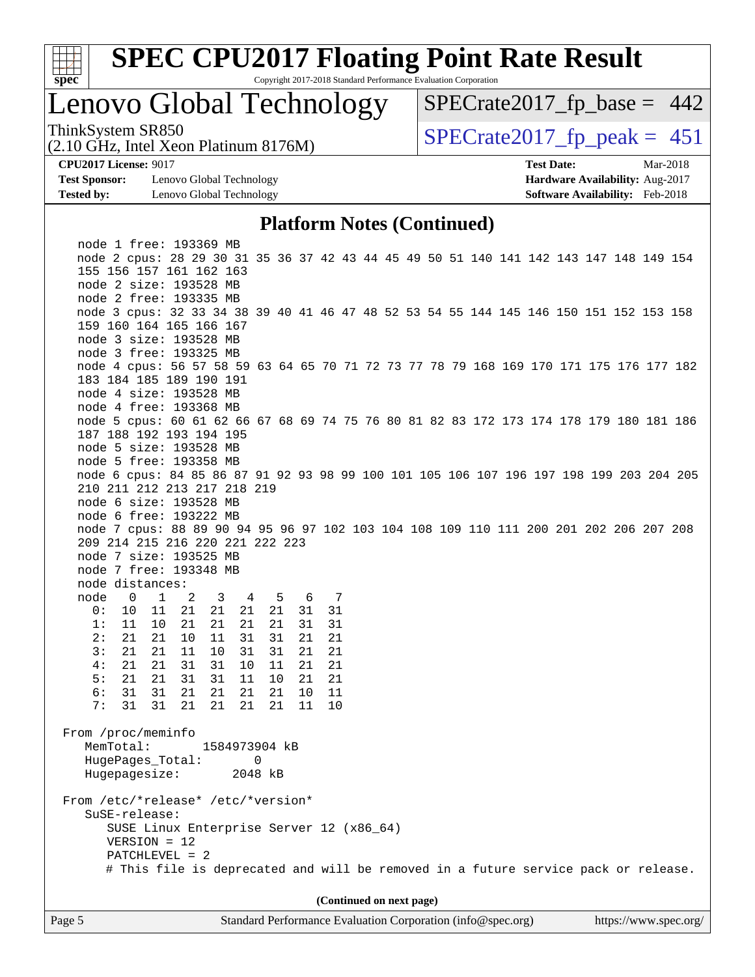

### Lenovo Global Technology

ThinkSystem SR850<br>(2.10 GHz, Intel Xeon Platinum 8176M)  $SPECrate2017_fpcak = 451$  $SPECTate2017_fp\_base = 442$ 

(2.10 GHz, Intel Xeon Platinum 8176M)

**[Test Sponsor:](http://www.spec.org/auto/cpu2017/Docs/result-fields.html#TestSponsor)** Lenovo Global Technology **[Hardware Availability:](http://www.spec.org/auto/cpu2017/Docs/result-fields.html#HardwareAvailability)** Aug-2017 **[Tested by:](http://www.spec.org/auto/cpu2017/Docs/result-fields.html#Testedby)** Lenovo Global Technology **[Software Availability:](http://www.spec.org/auto/cpu2017/Docs/result-fields.html#SoftwareAvailability)** Feb-2018

**[CPU2017 License:](http://www.spec.org/auto/cpu2017/Docs/result-fields.html#CPU2017License)** 9017 **[Test Date:](http://www.spec.org/auto/cpu2017/Docs/result-fields.html#TestDate)** Mar-2018

#### **[Platform Notes \(Continued\)](http://www.spec.org/auto/cpu2017/Docs/result-fields.html#PlatformNotes)**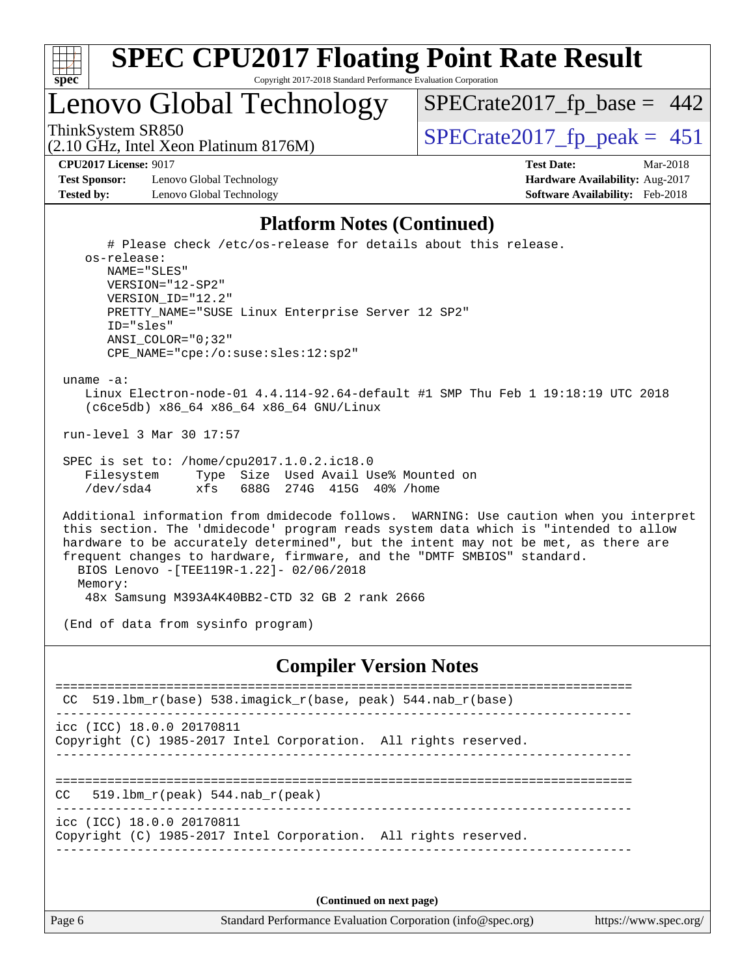

### Lenovo Global Technology

(2.10 GHz, Intel Xeon Platinum 8176M)

ThinkSystem SR850<br>  $(2.10 \text{ GHz})$  Intel Year Platinum 8176M)

 $SPECTate2017_fp\_base = 442$ 

**[Test Sponsor:](http://www.spec.org/auto/cpu2017/Docs/result-fields.html#TestSponsor)** Lenovo Global Technology **[Hardware Availability:](http://www.spec.org/auto/cpu2017/Docs/result-fields.html#HardwareAvailability)** Aug-2017 **[Tested by:](http://www.spec.org/auto/cpu2017/Docs/result-fields.html#Testedby)** Lenovo Global Technology **[Software Availability:](http://www.spec.org/auto/cpu2017/Docs/result-fields.html#SoftwareAvailability)** Feb-2018

**[CPU2017 License:](http://www.spec.org/auto/cpu2017/Docs/result-fields.html#CPU2017License)** 9017 **[Test Date:](http://www.spec.org/auto/cpu2017/Docs/result-fields.html#TestDate)** Mar-2018

#### **[Platform Notes \(Continued\)](http://www.spec.org/auto/cpu2017/Docs/result-fields.html#PlatformNotes)**

 # Please check /etc/os-release for details about this release. os-release: NAME="SLES" VERSION="12-SP2" VERSION\_ID="12.2" PRETTY\_NAME="SUSE Linux Enterprise Server 12 SP2" ID="sles" ANSI\_COLOR="0;32" CPE\_NAME="cpe:/o:suse:sles:12:sp2"

uname -a:

 Linux Electron-node-01 4.4.114-92.64-default #1 SMP Thu Feb 1 19:18:19 UTC 2018 (c6ce5db) x86\_64 x86\_64 x86\_64 GNU/Linux

run-level 3 Mar 30 17:57

 SPEC is set to: /home/cpu2017.1.0.2.ic18.0 Filesystem Type Size Used Avail Use% Mounted on /dev/sda4 xfs 688G 274G 415G 40% /home

 Additional information from dmidecode follows. WARNING: Use caution when you interpret this section. The 'dmidecode' program reads system data which is "intended to allow hardware to be accurately determined", but the intent may not be met, as there are frequent changes to hardware, firmware, and the "DMTF SMBIOS" standard. BIOS Lenovo -[TEE119R-1.22]- 02/06/2018 Memory: 48x Samsung M393A4K40BB2-CTD 32 GB 2 rank 2666

(End of data from sysinfo program)

#### **[Compiler Version Notes](http://www.spec.org/auto/cpu2017/Docs/result-fields.html#CompilerVersionNotes)**

============================================================================== CC 519.1bm  $r(base)$  538.imagick  $r(base, peak)$  544.nab  $r(base)$ ----------------------------------------------------------------------------- icc (ICC) 18.0.0 20170811 Copyright (C) 1985-2017 Intel Corporation. All rights reserved. ------------------------------------------------------------------------------ ============================================================================== CC 519.lbm\_r(peak) 544.nab\_r(peak) ----------------------------------------------------------------------------- icc (ICC) 18.0.0 20170811 Copyright (C) 1985-2017 Intel Corporation. All rights reserved. ------------------------------------------------------------------------------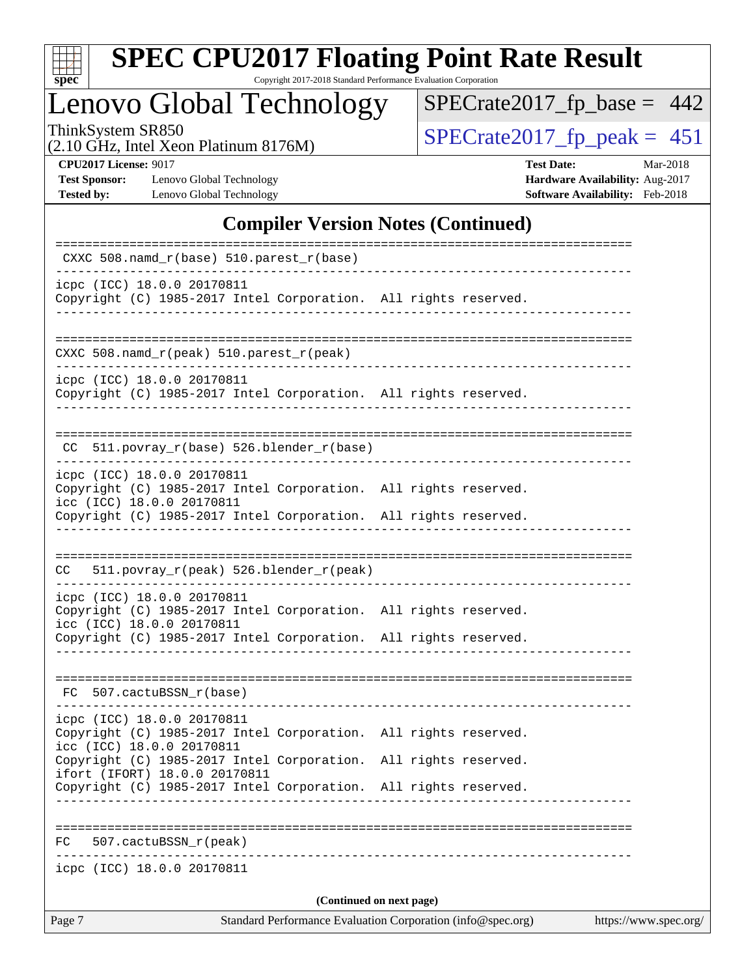

Copyright 2017-2018 Standard Performance Evaluation Corporation

### Lenovo Global Technology

ThinkSystem SR850<br>  $(2.10 \text{ GHz})$  Intel Xeon Platinum 8176M) [SPECrate2017\\_fp\\_peak =](http://www.spec.org/auto/cpu2017/Docs/result-fields.html#SPECrate2017fppeak) 451

[SPECrate2017\\_fp\\_base =](http://www.spec.org/auto/cpu2017/Docs/result-fields.html#SPECrate2017fpbase) 442

(2.10 GHz, Intel Xeon Platinum 8176M)

**[CPU2017 License:](http://www.spec.org/auto/cpu2017/Docs/result-fields.html#CPU2017License)** 9017 **[Test Date:](http://www.spec.org/auto/cpu2017/Docs/result-fields.html#TestDate)** Mar-2018 **[Test Sponsor:](http://www.spec.org/auto/cpu2017/Docs/result-fields.html#TestSponsor)** Lenovo Global Technology **[Hardware Availability:](http://www.spec.org/auto/cpu2017/Docs/result-fields.html#HardwareAvailability)** Aug-2017 **[Tested by:](http://www.spec.org/auto/cpu2017/Docs/result-fields.html#Testedby)** Lenovo Global Technology **[Software Availability:](http://www.spec.org/auto/cpu2017/Docs/result-fields.html#SoftwareAvailability)** Feb-2018

#### **[Compiler Version Notes \(Continued\)](http://www.spec.org/auto/cpu2017/Docs/result-fields.html#CompilerVersionNotes)**

| Page 7                                                                                                                     | Standard Performance Evaluation Corporation (info@spec.org) | https://www.spec.org/ |
|----------------------------------------------------------------------------------------------------------------------------|-------------------------------------------------------------|-----------------------|
|                                                                                                                            | (Continued on next page)                                    |                       |
| icpc (ICC) 18.0.0 20170811                                                                                                 |                                                             |                       |
| 507.cactuBSSN_r(peak)<br>FC                                                                                                |                                                             |                       |
|                                                                                                                            |                                                             |                       |
| ifort (IFORT) 18.0.0 20170811<br>Copyright (C) 1985-2017 Intel Corporation. All rights reserved.                           |                                                             |                       |
| icc (ICC) 18.0.0 20170811<br>Copyright (C) 1985-2017 Intel Corporation. All rights reserved.                               |                                                             |                       |
| icpc (ICC) 18.0.0 20170811<br>Copyright (C) 1985-2017 Intel Corporation. All rights reserved.                              |                                                             |                       |
| FC 507.cactuBSSN_r(base)                                                                                                   |                                                             |                       |
| Copyright (C) 1985-2017 Intel Corporation. All rights reserved.                                                            |                                                             |                       |
| Copyright (C) 1985-2017 Intel Corporation. All rights reserved.<br>icc (ICC) 18.0.0 20170811                               |                                                             |                       |
| icpc (ICC) 18.0.0 20170811                                                                                                 |                                                             |                       |
| 511.povray_r(peak) 526.blender_r(peak)<br>CC                                                                               |                                                             |                       |
| Copyright (C) 1985-2017 Intel Corporation. All rights reserved.                                                            |                                                             |                       |
| icpc (ICC) 18.0.0 20170811<br>Copyright (C) 1985-2017 Intel Corporation. All rights reserved.<br>icc (ICC) 18.0.0 20170811 |                                                             |                       |
| $CC$ 511.povray $r(base)$ 526.blender $r(base)$                                                                            |                                                             |                       |
| icpc (ICC) 18.0.0 20170811<br>Copyright (C) 1985-2017 Intel Corporation. All rights reserved.                              |                                                             |                       |
| CXXC 508.namd_r(peak) 510.parest_r(peak)                                                                                   |                                                             |                       |
|                                                                                                                            |                                                             |                       |
| icpc (ICC) 18.0.0 20170811<br>Copyright (C) 1985-2017 Intel Corporation. All rights reserved.                              |                                                             |                       |
| CXXC $508.namd_r(base) 510.parest_r(base)$                                                                                 |                                                             |                       |
|                                                                                                                            |                                                             |                       |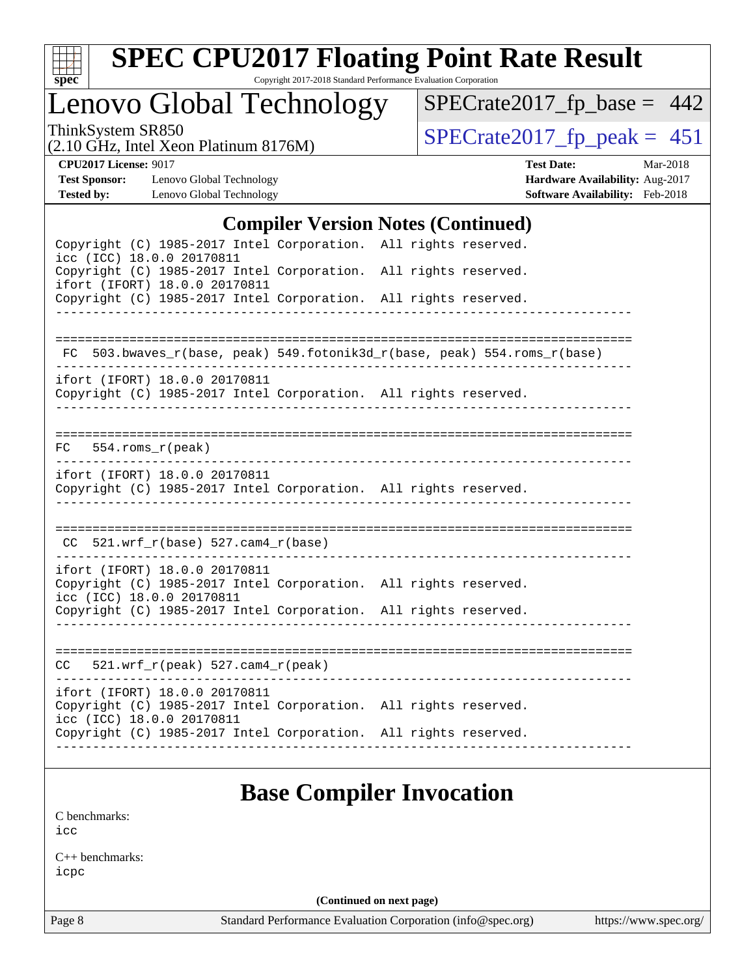

Copyright 2017-2018 Standard Performance Evaluation Corporation

### Lenovo Global Technology

ThinkSystem SR850<br>  $(2.10 \text{ GHz})$  Intel Xeon Platinum 8176M) [SPECrate2017\\_fp\\_peak =](http://www.spec.org/auto/cpu2017/Docs/result-fields.html#SPECrate2017fppeak) 451

[SPECrate2017\\_fp\\_base =](http://www.spec.org/auto/cpu2017/Docs/result-fields.html#SPECrate2017fpbase) 442

(2.10 GHz, Intel Xeon Platinum 8176M)

**[CPU2017 License:](http://www.spec.org/auto/cpu2017/Docs/result-fields.html#CPU2017License)** 9017 **[Test Date:](http://www.spec.org/auto/cpu2017/Docs/result-fields.html#TestDate)** Mar-2018 **[Test Sponsor:](http://www.spec.org/auto/cpu2017/Docs/result-fields.html#TestSponsor)** Lenovo Global Technology **[Hardware Availability:](http://www.spec.org/auto/cpu2017/Docs/result-fields.html#HardwareAvailability)** Aug-2017 **[Tested by:](http://www.spec.org/auto/cpu2017/Docs/result-fields.html#Testedby)** Lenovo Global Technology **[Software Availability:](http://www.spec.org/auto/cpu2017/Docs/result-fields.html#SoftwareAvailability)** Feb-2018

#### **[Compiler Version Notes \(Continued\)](http://www.spec.org/auto/cpu2017/Docs/result-fields.html#CompilerVersionNotes)**

| Complier version rotes (Communeu)                                                                                             |  |                                                                          |  |  |  |  |  |
|-------------------------------------------------------------------------------------------------------------------------------|--|--------------------------------------------------------------------------|--|--|--|--|--|
| Copyright (C) 1985-2017 Intel Corporation. All rights reserved.<br>icc (ICC) 18.0.0 20170811                                  |  |                                                                          |  |  |  |  |  |
| Copyright (C) 1985-2017 Intel Corporation. All rights reserved.<br>ifort (IFORT) 18.0.0 20170811                              |  |                                                                          |  |  |  |  |  |
| Copyright (C) 1985-2017 Intel Corporation. All rights reserved.                                                               |  |                                                                          |  |  |  |  |  |
|                                                                                                                               |  |                                                                          |  |  |  |  |  |
|                                                                                                                               |  | FC 503.bwaves_r(base, peak) 549.fotonik3d_r(base, peak) 554.roms_r(base) |  |  |  |  |  |
| ifort (IFORT) 18.0.0 20170811<br>Copyright (C) 1985-2017 Intel Corporation. All rights reserved.                              |  |                                                                          |  |  |  |  |  |
| $554.rows_r (peak)$<br>FC                                                                                                     |  |                                                                          |  |  |  |  |  |
| ifort (IFORT) 18.0.0 20170811<br>Copyright (C) 1985-2017 Intel Corporation. All rights reserved.                              |  |                                                                          |  |  |  |  |  |
| $CC$ 521.wrf_r(base) 527.cam4_r(base)                                                                                         |  |                                                                          |  |  |  |  |  |
| ifort (IFORT) 18.0.0 20170811                                                                                                 |  |                                                                          |  |  |  |  |  |
| Copyright (C) 1985-2017 Intel Corporation. All rights reserved.<br>icc (ICC) 18.0.0 20170811                                  |  |                                                                          |  |  |  |  |  |
| Copyright (C) 1985-2017 Intel Corporation. All rights reserved.                                                               |  |                                                                          |  |  |  |  |  |
|                                                                                                                               |  |                                                                          |  |  |  |  |  |
| $CC = 521.wrf_r(peak) 527.cam4_r(peak)$                                                                                       |  |                                                                          |  |  |  |  |  |
| ifort (IFORT) 18.0.0 20170811<br>Copyright (C) 1985-2017 Intel Corporation. All rights reserved.<br>icc (ICC) 18.0.0 20170811 |  |                                                                          |  |  |  |  |  |
| Copyright (C) 1985-2017 Intel Corporation. All rights reserved.                                                               |  |                                                                          |  |  |  |  |  |
|                                                                                                                               |  |                                                                          |  |  |  |  |  |

### **[Base Compiler Invocation](http://www.spec.org/auto/cpu2017/Docs/result-fields.html#BaseCompilerInvocation)**

[C benchmarks](http://www.spec.org/auto/cpu2017/Docs/result-fields.html#Cbenchmarks): [icc](http://www.spec.org/cpu2017/results/res2018q2/cpu2017-20180528-06024.flags.html#user_CCbase_intel_icc_18.0_66fc1ee009f7361af1fbd72ca7dcefbb700085f36577c54f309893dd4ec40d12360134090235512931783d35fd58c0460139e722d5067c5574d8eaf2b3e37e92)

[C++ benchmarks:](http://www.spec.org/auto/cpu2017/Docs/result-fields.html#CXXbenchmarks) [icpc](http://www.spec.org/cpu2017/results/res2018q2/cpu2017-20180528-06024.flags.html#user_CXXbase_intel_icpc_18.0_c510b6838c7f56d33e37e94d029a35b4a7bccf4766a728ee175e80a419847e808290a9b78be685c44ab727ea267ec2f070ec5dc83b407c0218cded6866a35d07)

**(Continued on next page)**

Page 8 Standard Performance Evaluation Corporation [\(info@spec.org\)](mailto:info@spec.org) <https://www.spec.org/>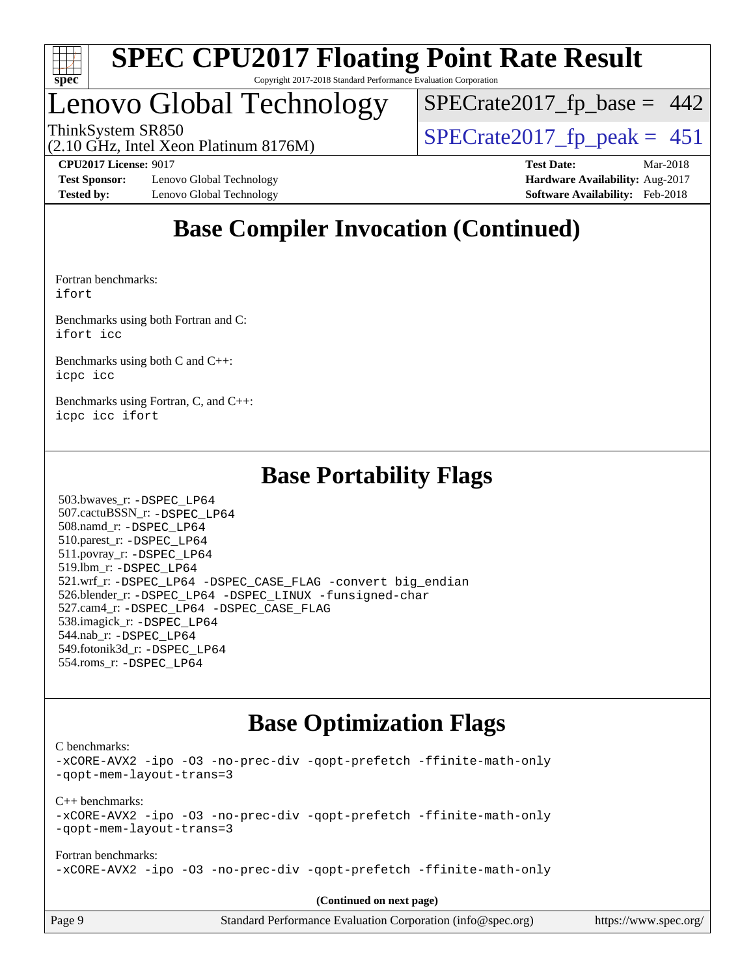

## Lenovo Global Technology

ThinkSystem SR850<br>(2.10 GHz, Intel Xeon Platinum 8176M)  $SPECrate2017_fpcak = 451$  $SPECTate2017_fp\_base = 442$ 

(2.10 GHz, Intel Xeon Platinum 8176M)

**[Test Sponsor:](http://www.spec.org/auto/cpu2017/Docs/result-fields.html#TestSponsor)** Lenovo Global Technology **[Hardware Availability:](http://www.spec.org/auto/cpu2017/Docs/result-fields.html#HardwareAvailability)** Aug-2017 **[Tested by:](http://www.spec.org/auto/cpu2017/Docs/result-fields.html#Testedby)** Lenovo Global Technology **[Software Availability:](http://www.spec.org/auto/cpu2017/Docs/result-fields.html#SoftwareAvailability)** Feb-2018

**[CPU2017 License:](http://www.spec.org/auto/cpu2017/Docs/result-fields.html#CPU2017License)** 9017 **[Test Date:](http://www.spec.org/auto/cpu2017/Docs/result-fields.html#TestDate)** Mar-2018

### **[Base Compiler Invocation \(Continued\)](http://www.spec.org/auto/cpu2017/Docs/result-fields.html#BaseCompilerInvocation)**

[Fortran benchmarks](http://www.spec.org/auto/cpu2017/Docs/result-fields.html#Fortranbenchmarks): [ifort](http://www.spec.org/cpu2017/results/res2018q2/cpu2017-20180528-06024.flags.html#user_FCbase_intel_ifort_18.0_8111460550e3ca792625aed983ce982f94888b8b503583aa7ba2b8303487b4d8a21a13e7191a45c5fd58ff318f48f9492884d4413fa793fd88dd292cad7027ca)

[Benchmarks using both Fortran and C](http://www.spec.org/auto/cpu2017/Docs/result-fields.html#BenchmarksusingbothFortranandC): [ifort](http://www.spec.org/cpu2017/results/res2018q2/cpu2017-20180528-06024.flags.html#user_CC_FCbase_intel_ifort_18.0_8111460550e3ca792625aed983ce982f94888b8b503583aa7ba2b8303487b4d8a21a13e7191a45c5fd58ff318f48f9492884d4413fa793fd88dd292cad7027ca) [icc](http://www.spec.org/cpu2017/results/res2018q2/cpu2017-20180528-06024.flags.html#user_CC_FCbase_intel_icc_18.0_66fc1ee009f7361af1fbd72ca7dcefbb700085f36577c54f309893dd4ec40d12360134090235512931783d35fd58c0460139e722d5067c5574d8eaf2b3e37e92)

[Benchmarks using both C and C++](http://www.spec.org/auto/cpu2017/Docs/result-fields.html#BenchmarksusingbothCandCXX): [icpc](http://www.spec.org/cpu2017/results/res2018q2/cpu2017-20180528-06024.flags.html#user_CC_CXXbase_intel_icpc_18.0_c510b6838c7f56d33e37e94d029a35b4a7bccf4766a728ee175e80a419847e808290a9b78be685c44ab727ea267ec2f070ec5dc83b407c0218cded6866a35d07) [icc](http://www.spec.org/cpu2017/results/res2018q2/cpu2017-20180528-06024.flags.html#user_CC_CXXbase_intel_icc_18.0_66fc1ee009f7361af1fbd72ca7dcefbb700085f36577c54f309893dd4ec40d12360134090235512931783d35fd58c0460139e722d5067c5574d8eaf2b3e37e92)

[Benchmarks using Fortran, C, and C++:](http://www.spec.org/auto/cpu2017/Docs/result-fields.html#BenchmarksusingFortranCandCXX) [icpc](http://www.spec.org/cpu2017/results/res2018q2/cpu2017-20180528-06024.flags.html#user_CC_CXX_FCbase_intel_icpc_18.0_c510b6838c7f56d33e37e94d029a35b4a7bccf4766a728ee175e80a419847e808290a9b78be685c44ab727ea267ec2f070ec5dc83b407c0218cded6866a35d07) [icc](http://www.spec.org/cpu2017/results/res2018q2/cpu2017-20180528-06024.flags.html#user_CC_CXX_FCbase_intel_icc_18.0_66fc1ee009f7361af1fbd72ca7dcefbb700085f36577c54f309893dd4ec40d12360134090235512931783d35fd58c0460139e722d5067c5574d8eaf2b3e37e92) [ifort](http://www.spec.org/cpu2017/results/res2018q2/cpu2017-20180528-06024.flags.html#user_CC_CXX_FCbase_intel_ifort_18.0_8111460550e3ca792625aed983ce982f94888b8b503583aa7ba2b8303487b4d8a21a13e7191a45c5fd58ff318f48f9492884d4413fa793fd88dd292cad7027ca)

#### **[Base Portability Flags](http://www.spec.org/auto/cpu2017/Docs/result-fields.html#BasePortabilityFlags)**

 503.bwaves\_r: [-DSPEC\\_LP64](http://www.spec.org/cpu2017/results/res2018q2/cpu2017-20180528-06024.flags.html#suite_basePORTABILITY503_bwaves_r_DSPEC_LP64) 507.cactuBSSN\_r: [-DSPEC\\_LP64](http://www.spec.org/cpu2017/results/res2018q2/cpu2017-20180528-06024.flags.html#suite_basePORTABILITY507_cactuBSSN_r_DSPEC_LP64) 508.namd\_r: [-DSPEC\\_LP64](http://www.spec.org/cpu2017/results/res2018q2/cpu2017-20180528-06024.flags.html#suite_basePORTABILITY508_namd_r_DSPEC_LP64) 510.parest\_r: [-DSPEC\\_LP64](http://www.spec.org/cpu2017/results/res2018q2/cpu2017-20180528-06024.flags.html#suite_basePORTABILITY510_parest_r_DSPEC_LP64) 511.povray\_r: [-DSPEC\\_LP64](http://www.spec.org/cpu2017/results/res2018q2/cpu2017-20180528-06024.flags.html#suite_basePORTABILITY511_povray_r_DSPEC_LP64) 519.lbm\_r: [-DSPEC\\_LP64](http://www.spec.org/cpu2017/results/res2018q2/cpu2017-20180528-06024.flags.html#suite_basePORTABILITY519_lbm_r_DSPEC_LP64) 521.wrf\_r: [-DSPEC\\_LP64](http://www.spec.org/cpu2017/results/res2018q2/cpu2017-20180528-06024.flags.html#suite_basePORTABILITY521_wrf_r_DSPEC_LP64) [-DSPEC\\_CASE\\_FLAG](http://www.spec.org/cpu2017/results/res2018q2/cpu2017-20180528-06024.flags.html#b521.wrf_r_baseCPORTABILITY_DSPEC_CASE_FLAG) [-convert big\\_endian](http://www.spec.org/cpu2017/results/res2018q2/cpu2017-20180528-06024.flags.html#user_baseFPORTABILITY521_wrf_r_convert_big_endian_c3194028bc08c63ac5d04de18c48ce6d347e4e562e8892b8bdbdc0214820426deb8554edfa529a3fb25a586e65a3d812c835984020483e7e73212c4d31a38223) 526.blender\_r: [-DSPEC\\_LP64](http://www.spec.org/cpu2017/results/res2018q2/cpu2017-20180528-06024.flags.html#suite_basePORTABILITY526_blender_r_DSPEC_LP64) [-DSPEC\\_LINUX](http://www.spec.org/cpu2017/results/res2018q2/cpu2017-20180528-06024.flags.html#b526.blender_r_baseCPORTABILITY_DSPEC_LINUX) [-funsigned-char](http://www.spec.org/cpu2017/results/res2018q2/cpu2017-20180528-06024.flags.html#user_baseCPORTABILITY526_blender_r_force_uchar_40c60f00ab013830e2dd6774aeded3ff59883ba5a1fc5fc14077f794d777847726e2a5858cbc7672e36e1b067e7e5c1d9a74f7176df07886a243d7cc18edfe67) 527.cam4\_r: [-DSPEC\\_LP64](http://www.spec.org/cpu2017/results/res2018q2/cpu2017-20180528-06024.flags.html#suite_basePORTABILITY527_cam4_r_DSPEC_LP64) [-DSPEC\\_CASE\\_FLAG](http://www.spec.org/cpu2017/results/res2018q2/cpu2017-20180528-06024.flags.html#b527.cam4_r_baseCPORTABILITY_DSPEC_CASE_FLAG) 538.imagick\_r: [-DSPEC\\_LP64](http://www.spec.org/cpu2017/results/res2018q2/cpu2017-20180528-06024.flags.html#suite_basePORTABILITY538_imagick_r_DSPEC_LP64) 544.nab\_r: [-DSPEC\\_LP64](http://www.spec.org/cpu2017/results/res2018q2/cpu2017-20180528-06024.flags.html#suite_basePORTABILITY544_nab_r_DSPEC_LP64) 549.fotonik3d\_r: [-DSPEC\\_LP64](http://www.spec.org/cpu2017/results/res2018q2/cpu2017-20180528-06024.flags.html#suite_basePORTABILITY549_fotonik3d_r_DSPEC_LP64) 554.roms\_r: [-DSPEC\\_LP64](http://www.spec.org/cpu2017/results/res2018q2/cpu2017-20180528-06024.flags.html#suite_basePORTABILITY554_roms_r_DSPEC_LP64)

### **[Base Optimization Flags](http://www.spec.org/auto/cpu2017/Docs/result-fields.html#BaseOptimizationFlags)**

[C benchmarks](http://www.spec.org/auto/cpu2017/Docs/result-fields.html#Cbenchmarks):

[-xCORE-AVX2](http://www.spec.org/cpu2017/results/res2018q2/cpu2017-20180528-06024.flags.html#user_CCbase_f-xCORE-AVX2) [-ipo](http://www.spec.org/cpu2017/results/res2018q2/cpu2017-20180528-06024.flags.html#user_CCbase_f-ipo) [-O3](http://www.spec.org/cpu2017/results/res2018q2/cpu2017-20180528-06024.flags.html#user_CCbase_f-O3) [-no-prec-div](http://www.spec.org/cpu2017/results/res2018q2/cpu2017-20180528-06024.flags.html#user_CCbase_f-no-prec-div) [-qopt-prefetch](http://www.spec.org/cpu2017/results/res2018q2/cpu2017-20180528-06024.flags.html#user_CCbase_f-qopt-prefetch) [-ffinite-math-only](http://www.spec.org/cpu2017/results/res2018q2/cpu2017-20180528-06024.flags.html#user_CCbase_f_finite_math_only_cb91587bd2077682c4b38af759c288ed7c732db004271a9512da14a4f8007909a5f1427ecbf1a0fb78ff2a814402c6114ac565ca162485bbcae155b5e4258871) [-qopt-mem-layout-trans=3](http://www.spec.org/cpu2017/results/res2018q2/cpu2017-20180528-06024.flags.html#user_CCbase_f-qopt-mem-layout-trans_de80db37974c74b1f0e20d883f0b675c88c3b01e9d123adea9b28688d64333345fb62bc4a798493513fdb68f60282f9a726aa07f478b2f7113531aecce732043) [C++ benchmarks:](http://www.spec.org/auto/cpu2017/Docs/result-fields.html#CXXbenchmarks) [-xCORE-AVX2](http://www.spec.org/cpu2017/results/res2018q2/cpu2017-20180528-06024.flags.html#user_CXXbase_f-xCORE-AVX2) [-ipo](http://www.spec.org/cpu2017/results/res2018q2/cpu2017-20180528-06024.flags.html#user_CXXbase_f-ipo) [-O3](http://www.spec.org/cpu2017/results/res2018q2/cpu2017-20180528-06024.flags.html#user_CXXbase_f-O3) [-no-prec-div](http://www.spec.org/cpu2017/results/res2018q2/cpu2017-20180528-06024.flags.html#user_CXXbase_f-no-prec-div) [-qopt-prefetch](http://www.spec.org/cpu2017/results/res2018q2/cpu2017-20180528-06024.flags.html#user_CXXbase_f-qopt-prefetch) [-ffinite-math-only](http://www.spec.org/cpu2017/results/res2018q2/cpu2017-20180528-06024.flags.html#user_CXXbase_f_finite_math_only_cb91587bd2077682c4b38af759c288ed7c732db004271a9512da14a4f8007909a5f1427ecbf1a0fb78ff2a814402c6114ac565ca162485bbcae155b5e4258871) [-qopt-mem-layout-trans=3](http://www.spec.org/cpu2017/results/res2018q2/cpu2017-20180528-06024.flags.html#user_CXXbase_f-qopt-mem-layout-trans_de80db37974c74b1f0e20d883f0b675c88c3b01e9d123adea9b28688d64333345fb62bc4a798493513fdb68f60282f9a726aa07f478b2f7113531aecce732043) [Fortran benchmarks](http://www.spec.org/auto/cpu2017/Docs/result-fields.html#Fortranbenchmarks): [-xCORE-AVX2](http://www.spec.org/cpu2017/results/res2018q2/cpu2017-20180528-06024.flags.html#user_FCbase_f-xCORE-AVX2) [-ipo](http://www.spec.org/cpu2017/results/res2018q2/cpu2017-20180528-06024.flags.html#user_FCbase_f-ipo) [-O3](http://www.spec.org/cpu2017/results/res2018q2/cpu2017-20180528-06024.flags.html#user_FCbase_f-O3) [-no-prec-div](http://www.spec.org/cpu2017/results/res2018q2/cpu2017-20180528-06024.flags.html#user_FCbase_f-no-prec-div) [-qopt-prefetch](http://www.spec.org/cpu2017/results/res2018q2/cpu2017-20180528-06024.flags.html#user_FCbase_f-qopt-prefetch) [-ffinite-math-only](http://www.spec.org/cpu2017/results/res2018q2/cpu2017-20180528-06024.flags.html#user_FCbase_f_finite_math_only_cb91587bd2077682c4b38af759c288ed7c732db004271a9512da14a4f8007909a5f1427ecbf1a0fb78ff2a814402c6114ac565ca162485bbcae155b5e4258871)

| Page 9 | Standard Performance Evaluation Corporation (info@spec.org) | https://www.spec.org/ |
|--------|-------------------------------------------------------------|-----------------------|
|        |                                                             |                       |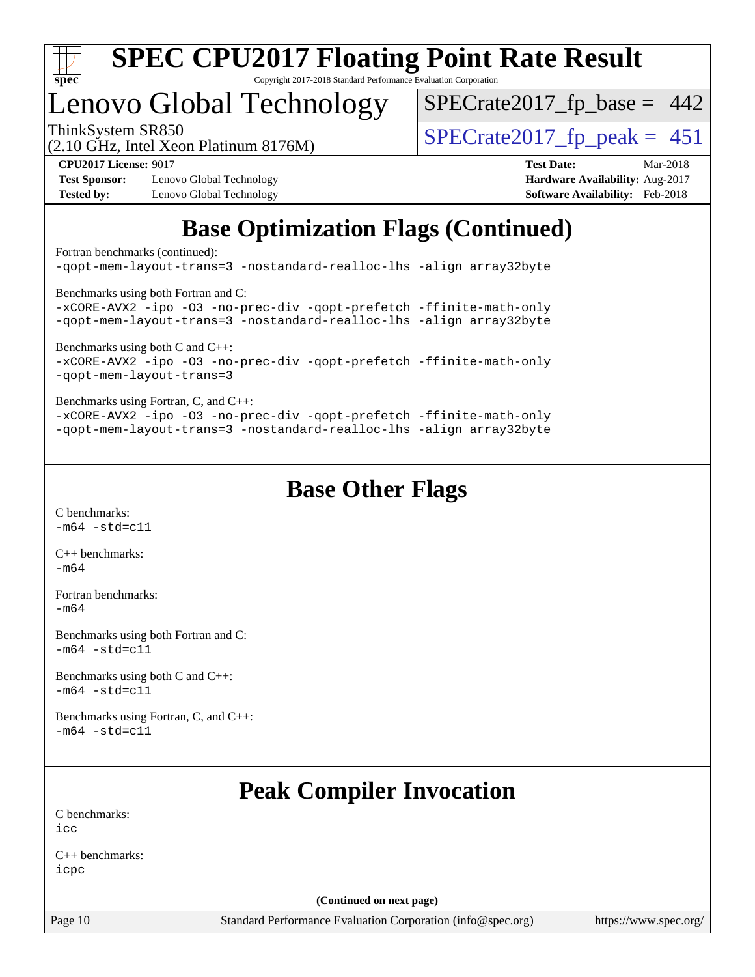

## Lenovo Global Technology

ThinkSystem SR850<br>(2.10 GHz, Intel Xeon Platinum 8176M)  $SPECrate2017_fp\_peak = 451$  $SPECTate2017_fp\_base = 442$ 

(2.10 GHz, Intel Xeon Platinum 8176M)

**[Test Sponsor:](http://www.spec.org/auto/cpu2017/Docs/result-fields.html#TestSponsor)** Lenovo Global Technology **[Hardware Availability:](http://www.spec.org/auto/cpu2017/Docs/result-fields.html#HardwareAvailability)** Aug-2017 **[Tested by:](http://www.spec.org/auto/cpu2017/Docs/result-fields.html#Testedby)** Lenovo Global Technology **[Software Availability:](http://www.spec.org/auto/cpu2017/Docs/result-fields.html#SoftwareAvailability)** Feb-2018

**[CPU2017 License:](http://www.spec.org/auto/cpu2017/Docs/result-fields.html#CPU2017License)** 9017 **[Test Date:](http://www.spec.org/auto/cpu2017/Docs/result-fields.html#TestDate)** Mar-2018

### **[Base Optimization Flags \(Continued\)](http://www.spec.org/auto/cpu2017/Docs/result-fields.html#BaseOptimizationFlags)**

[Fortran benchmarks](http://www.spec.org/auto/cpu2017/Docs/result-fields.html#Fortranbenchmarks) (continued):

[-qopt-mem-layout-trans=3](http://www.spec.org/cpu2017/results/res2018q2/cpu2017-20180528-06024.flags.html#user_FCbase_f-qopt-mem-layout-trans_de80db37974c74b1f0e20d883f0b675c88c3b01e9d123adea9b28688d64333345fb62bc4a798493513fdb68f60282f9a726aa07f478b2f7113531aecce732043) [-nostandard-realloc-lhs](http://www.spec.org/cpu2017/results/res2018q2/cpu2017-20180528-06024.flags.html#user_FCbase_f_2003_std_realloc_82b4557e90729c0f113870c07e44d33d6f5a304b4f63d4c15d2d0f1fab99f5daaed73bdb9275d9ae411527f28b936061aa8b9c8f2d63842963b95c9dd6426b8a) [-align array32byte](http://www.spec.org/cpu2017/results/res2018q2/cpu2017-20180528-06024.flags.html#user_FCbase_align_array32byte_b982fe038af199962ba9a80c053b8342c548c85b40b8e86eb3cc33dee0d7986a4af373ac2d51c3f7cf710a18d62fdce2948f201cd044323541f22fc0fffc51b6) [Benchmarks using both Fortran and C](http://www.spec.org/auto/cpu2017/Docs/result-fields.html#BenchmarksusingbothFortranandC): [-xCORE-AVX2](http://www.spec.org/cpu2017/results/res2018q2/cpu2017-20180528-06024.flags.html#user_CC_FCbase_f-xCORE-AVX2) [-ipo](http://www.spec.org/cpu2017/results/res2018q2/cpu2017-20180528-06024.flags.html#user_CC_FCbase_f-ipo) [-O3](http://www.spec.org/cpu2017/results/res2018q2/cpu2017-20180528-06024.flags.html#user_CC_FCbase_f-O3) [-no-prec-div](http://www.spec.org/cpu2017/results/res2018q2/cpu2017-20180528-06024.flags.html#user_CC_FCbase_f-no-prec-div) [-qopt-prefetch](http://www.spec.org/cpu2017/results/res2018q2/cpu2017-20180528-06024.flags.html#user_CC_FCbase_f-qopt-prefetch) [-ffinite-math-only](http://www.spec.org/cpu2017/results/res2018q2/cpu2017-20180528-06024.flags.html#user_CC_FCbase_f_finite_math_only_cb91587bd2077682c4b38af759c288ed7c732db004271a9512da14a4f8007909a5f1427ecbf1a0fb78ff2a814402c6114ac565ca162485bbcae155b5e4258871) [-qopt-mem-layout-trans=3](http://www.spec.org/cpu2017/results/res2018q2/cpu2017-20180528-06024.flags.html#user_CC_FCbase_f-qopt-mem-layout-trans_de80db37974c74b1f0e20d883f0b675c88c3b01e9d123adea9b28688d64333345fb62bc4a798493513fdb68f60282f9a726aa07f478b2f7113531aecce732043) [-nostandard-realloc-lhs](http://www.spec.org/cpu2017/results/res2018q2/cpu2017-20180528-06024.flags.html#user_CC_FCbase_f_2003_std_realloc_82b4557e90729c0f113870c07e44d33d6f5a304b4f63d4c15d2d0f1fab99f5daaed73bdb9275d9ae411527f28b936061aa8b9c8f2d63842963b95c9dd6426b8a) [-align array32byte](http://www.spec.org/cpu2017/results/res2018q2/cpu2017-20180528-06024.flags.html#user_CC_FCbase_align_array32byte_b982fe038af199962ba9a80c053b8342c548c85b40b8e86eb3cc33dee0d7986a4af373ac2d51c3f7cf710a18d62fdce2948f201cd044323541f22fc0fffc51b6) [Benchmarks using both C and C++](http://www.spec.org/auto/cpu2017/Docs/result-fields.html#BenchmarksusingbothCandCXX): [-xCORE-AVX2](http://www.spec.org/cpu2017/results/res2018q2/cpu2017-20180528-06024.flags.html#user_CC_CXXbase_f-xCORE-AVX2) [-ipo](http://www.spec.org/cpu2017/results/res2018q2/cpu2017-20180528-06024.flags.html#user_CC_CXXbase_f-ipo) [-O3](http://www.spec.org/cpu2017/results/res2018q2/cpu2017-20180528-06024.flags.html#user_CC_CXXbase_f-O3) [-no-prec-div](http://www.spec.org/cpu2017/results/res2018q2/cpu2017-20180528-06024.flags.html#user_CC_CXXbase_f-no-prec-div) [-qopt-prefetch](http://www.spec.org/cpu2017/results/res2018q2/cpu2017-20180528-06024.flags.html#user_CC_CXXbase_f-qopt-prefetch) [-ffinite-math-only](http://www.spec.org/cpu2017/results/res2018q2/cpu2017-20180528-06024.flags.html#user_CC_CXXbase_f_finite_math_only_cb91587bd2077682c4b38af759c288ed7c732db004271a9512da14a4f8007909a5f1427ecbf1a0fb78ff2a814402c6114ac565ca162485bbcae155b5e4258871) [-qopt-mem-layout-trans=3](http://www.spec.org/cpu2017/results/res2018q2/cpu2017-20180528-06024.flags.html#user_CC_CXXbase_f-qopt-mem-layout-trans_de80db37974c74b1f0e20d883f0b675c88c3b01e9d123adea9b28688d64333345fb62bc4a798493513fdb68f60282f9a726aa07f478b2f7113531aecce732043) [Benchmarks using Fortran, C, and C++:](http://www.spec.org/auto/cpu2017/Docs/result-fields.html#BenchmarksusingFortranCandCXX) [-xCORE-AVX2](http://www.spec.org/cpu2017/results/res2018q2/cpu2017-20180528-06024.flags.html#user_CC_CXX_FCbase_f-xCORE-AVX2) [-ipo](http://www.spec.org/cpu2017/results/res2018q2/cpu2017-20180528-06024.flags.html#user_CC_CXX_FCbase_f-ipo) [-O3](http://www.spec.org/cpu2017/results/res2018q2/cpu2017-20180528-06024.flags.html#user_CC_CXX_FCbase_f-O3) [-no-prec-div](http://www.spec.org/cpu2017/results/res2018q2/cpu2017-20180528-06024.flags.html#user_CC_CXX_FCbase_f-no-prec-div) [-qopt-prefetch](http://www.spec.org/cpu2017/results/res2018q2/cpu2017-20180528-06024.flags.html#user_CC_CXX_FCbase_f-qopt-prefetch) [-ffinite-math-only](http://www.spec.org/cpu2017/results/res2018q2/cpu2017-20180528-06024.flags.html#user_CC_CXX_FCbase_f_finite_math_only_cb91587bd2077682c4b38af759c288ed7c732db004271a9512da14a4f8007909a5f1427ecbf1a0fb78ff2a814402c6114ac565ca162485bbcae155b5e4258871) [-qopt-mem-layout-trans=3](http://www.spec.org/cpu2017/results/res2018q2/cpu2017-20180528-06024.flags.html#user_CC_CXX_FCbase_f-qopt-mem-layout-trans_de80db37974c74b1f0e20d883f0b675c88c3b01e9d123adea9b28688d64333345fb62bc4a798493513fdb68f60282f9a726aa07f478b2f7113531aecce732043) [-nostandard-realloc-lhs](http://www.spec.org/cpu2017/results/res2018q2/cpu2017-20180528-06024.flags.html#user_CC_CXX_FCbase_f_2003_std_realloc_82b4557e90729c0f113870c07e44d33d6f5a304b4f63d4c15d2d0f1fab99f5daaed73bdb9275d9ae411527f28b936061aa8b9c8f2d63842963b95c9dd6426b8a) [-align array32byte](http://www.spec.org/cpu2017/results/res2018q2/cpu2017-20180528-06024.flags.html#user_CC_CXX_FCbase_align_array32byte_b982fe038af199962ba9a80c053b8342c548c85b40b8e86eb3cc33dee0d7986a4af373ac2d51c3f7cf710a18d62fdce2948f201cd044323541f22fc0fffc51b6)

#### **[Base Other Flags](http://www.spec.org/auto/cpu2017/Docs/result-fields.html#BaseOtherFlags)**

[C benchmarks](http://www.spec.org/auto/cpu2017/Docs/result-fields.html#Cbenchmarks):  $-m64 - std = c11$  $-m64 - std = c11$ 

[C++ benchmarks:](http://www.spec.org/auto/cpu2017/Docs/result-fields.html#CXXbenchmarks)  $-m64$ 

[Fortran benchmarks](http://www.spec.org/auto/cpu2017/Docs/result-fields.html#Fortranbenchmarks): [-m64](http://www.spec.org/cpu2017/results/res2018q2/cpu2017-20180528-06024.flags.html#user_FCbase_intel_intel64_18.0_af43caccfc8ded86e7699f2159af6efc7655f51387b94da716254467f3c01020a5059329e2569e4053f409e7c9202a7efc638f7a6d1ffb3f52dea4a3e31d82ab)

[Benchmarks using both Fortran and C](http://www.spec.org/auto/cpu2017/Docs/result-fields.html#BenchmarksusingbothFortranandC):  $-m64 - std = c11$  $-m64 - std = c11$ 

[Benchmarks using both C and C++](http://www.spec.org/auto/cpu2017/Docs/result-fields.html#BenchmarksusingbothCandCXX):  $-m64 - std = c11$  $-m64 - std = c11$ 

[Benchmarks using Fortran, C, and C++:](http://www.spec.org/auto/cpu2017/Docs/result-fields.html#BenchmarksusingFortranCandCXX)  $-m64 - std = c11$  $-m64 - std = c11$ 

### **[Peak Compiler Invocation](http://www.spec.org/auto/cpu2017/Docs/result-fields.html#PeakCompilerInvocation)**

[C benchmarks](http://www.spec.org/auto/cpu2017/Docs/result-fields.html#Cbenchmarks):  $i$ cc

[C++ benchmarks:](http://www.spec.org/auto/cpu2017/Docs/result-fields.html#CXXbenchmarks) [icpc](http://www.spec.org/cpu2017/results/res2018q2/cpu2017-20180528-06024.flags.html#user_CXXpeak_intel_icpc_18.0_c510b6838c7f56d33e37e94d029a35b4a7bccf4766a728ee175e80a419847e808290a9b78be685c44ab727ea267ec2f070ec5dc83b407c0218cded6866a35d07)

**(Continued on next page)**

Page 10 Standard Performance Evaluation Corporation [\(info@spec.org\)](mailto:info@spec.org) <https://www.spec.org/>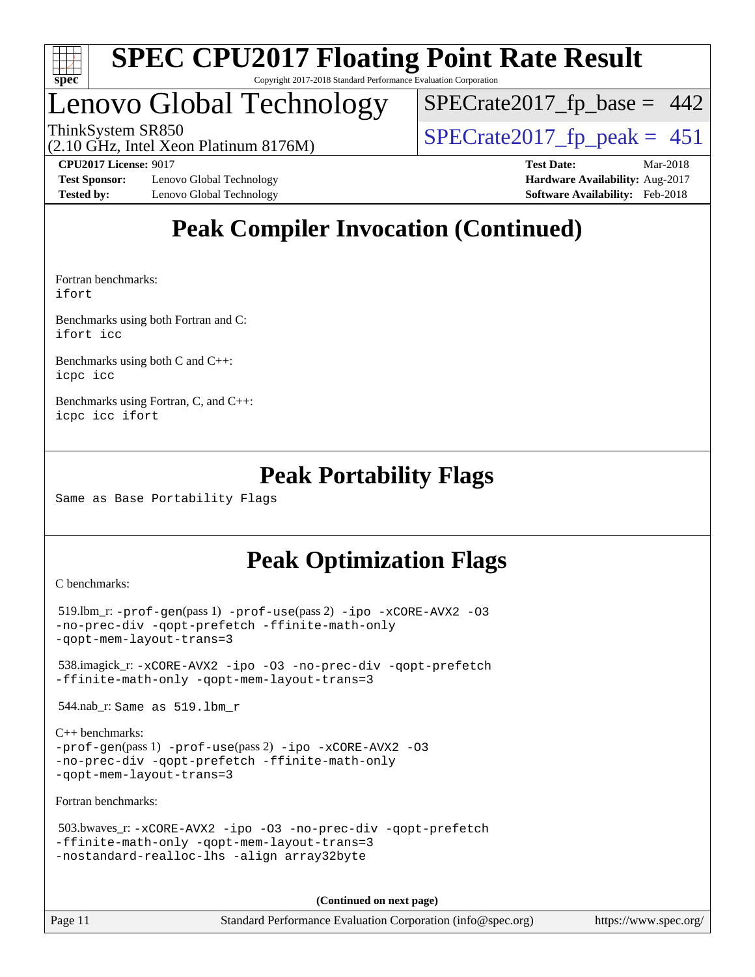

# Lenovo Global Technology

ThinkSystem SR850<br>(2.10 GHz, Intel Xeon Platinum 8176M)  $SPECrate2017_fp\_peak = 451$  $SPECTate2017_fp\_base = 442$ 

(2.10 GHz, Intel Xeon Platinum 8176M)

**[Test Sponsor:](http://www.spec.org/auto/cpu2017/Docs/result-fields.html#TestSponsor)** Lenovo Global Technology **[Hardware Availability:](http://www.spec.org/auto/cpu2017/Docs/result-fields.html#HardwareAvailability)** Aug-2017 **[Tested by:](http://www.spec.org/auto/cpu2017/Docs/result-fields.html#Testedby)** Lenovo Global Technology **[Software Availability:](http://www.spec.org/auto/cpu2017/Docs/result-fields.html#SoftwareAvailability)** Feb-2018

**[CPU2017 License:](http://www.spec.org/auto/cpu2017/Docs/result-fields.html#CPU2017License)** 9017 **[Test Date:](http://www.spec.org/auto/cpu2017/Docs/result-fields.html#TestDate)** Mar-2018

### **[Peak Compiler Invocation \(Continued\)](http://www.spec.org/auto/cpu2017/Docs/result-fields.html#PeakCompilerInvocation)**

[Fortran benchmarks](http://www.spec.org/auto/cpu2017/Docs/result-fields.html#Fortranbenchmarks): [ifort](http://www.spec.org/cpu2017/results/res2018q2/cpu2017-20180528-06024.flags.html#user_FCpeak_intel_ifort_18.0_8111460550e3ca792625aed983ce982f94888b8b503583aa7ba2b8303487b4d8a21a13e7191a45c5fd58ff318f48f9492884d4413fa793fd88dd292cad7027ca)

[Benchmarks using both Fortran and C](http://www.spec.org/auto/cpu2017/Docs/result-fields.html#BenchmarksusingbothFortranandC): [ifort](http://www.spec.org/cpu2017/results/res2018q2/cpu2017-20180528-06024.flags.html#user_CC_FCpeak_intel_ifort_18.0_8111460550e3ca792625aed983ce982f94888b8b503583aa7ba2b8303487b4d8a21a13e7191a45c5fd58ff318f48f9492884d4413fa793fd88dd292cad7027ca) [icc](http://www.spec.org/cpu2017/results/res2018q2/cpu2017-20180528-06024.flags.html#user_CC_FCpeak_intel_icc_18.0_66fc1ee009f7361af1fbd72ca7dcefbb700085f36577c54f309893dd4ec40d12360134090235512931783d35fd58c0460139e722d5067c5574d8eaf2b3e37e92)

[Benchmarks using both C and C++](http://www.spec.org/auto/cpu2017/Docs/result-fields.html#BenchmarksusingbothCandCXX): [icpc](http://www.spec.org/cpu2017/results/res2018q2/cpu2017-20180528-06024.flags.html#user_CC_CXXpeak_intel_icpc_18.0_c510b6838c7f56d33e37e94d029a35b4a7bccf4766a728ee175e80a419847e808290a9b78be685c44ab727ea267ec2f070ec5dc83b407c0218cded6866a35d07) [icc](http://www.spec.org/cpu2017/results/res2018q2/cpu2017-20180528-06024.flags.html#user_CC_CXXpeak_intel_icc_18.0_66fc1ee009f7361af1fbd72ca7dcefbb700085f36577c54f309893dd4ec40d12360134090235512931783d35fd58c0460139e722d5067c5574d8eaf2b3e37e92)

[Benchmarks using Fortran, C, and C++:](http://www.spec.org/auto/cpu2017/Docs/result-fields.html#BenchmarksusingFortranCandCXX) [icpc](http://www.spec.org/cpu2017/results/res2018q2/cpu2017-20180528-06024.flags.html#user_CC_CXX_FCpeak_intel_icpc_18.0_c510b6838c7f56d33e37e94d029a35b4a7bccf4766a728ee175e80a419847e808290a9b78be685c44ab727ea267ec2f070ec5dc83b407c0218cded6866a35d07) [icc](http://www.spec.org/cpu2017/results/res2018q2/cpu2017-20180528-06024.flags.html#user_CC_CXX_FCpeak_intel_icc_18.0_66fc1ee009f7361af1fbd72ca7dcefbb700085f36577c54f309893dd4ec40d12360134090235512931783d35fd58c0460139e722d5067c5574d8eaf2b3e37e92) [ifort](http://www.spec.org/cpu2017/results/res2018q2/cpu2017-20180528-06024.flags.html#user_CC_CXX_FCpeak_intel_ifort_18.0_8111460550e3ca792625aed983ce982f94888b8b503583aa7ba2b8303487b4d8a21a13e7191a45c5fd58ff318f48f9492884d4413fa793fd88dd292cad7027ca)

### **[Peak Portability Flags](http://www.spec.org/auto/cpu2017/Docs/result-fields.html#PeakPortabilityFlags)**

Same as Base Portability Flags

### **[Peak Optimization Flags](http://www.spec.org/auto/cpu2017/Docs/result-fields.html#PeakOptimizationFlags)**

[C benchmarks](http://www.spec.org/auto/cpu2017/Docs/result-fields.html#Cbenchmarks):

```
 519.lbm_r: -prof-gen(pass 1) -prof-use(pass 2) -ipo -xCORE-AVX2 -O3
-no-prec-div -qopt-prefetch -ffinite-math-only
-qopt-mem-layout-trans=3
```
 538.imagick\_r: [-xCORE-AVX2](http://www.spec.org/cpu2017/results/res2018q2/cpu2017-20180528-06024.flags.html#user_peakCOPTIMIZE538_imagick_r_f-xCORE-AVX2) [-ipo](http://www.spec.org/cpu2017/results/res2018q2/cpu2017-20180528-06024.flags.html#user_peakCOPTIMIZE538_imagick_r_f-ipo) [-O3](http://www.spec.org/cpu2017/results/res2018q2/cpu2017-20180528-06024.flags.html#user_peakCOPTIMIZE538_imagick_r_f-O3) [-no-prec-div](http://www.spec.org/cpu2017/results/res2018q2/cpu2017-20180528-06024.flags.html#user_peakCOPTIMIZE538_imagick_r_f-no-prec-div) [-qopt-prefetch](http://www.spec.org/cpu2017/results/res2018q2/cpu2017-20180528-06024.flags.html#user_peakCOPTIMIZE538_imagick_r_f-qopt-prefetch) [-ffinite-math-only](http://www.spec.org/cpu2017/results/res2018q2/cpu2017-20180528-06024.flags.html#user_peakCOPTIMIZE538_imagick_r_f_finite_math_only_cb91587bd2077682c4b38af759c288ed7c732db004271a9512da14a4f8007909a5f1427ecbf1a0fb78ff2a814402c6114ac565ca162485bbcae155b5e4258871) [-qopt-mem-layout-trans=3](http://www.spec.org/cpu2017/results/res2018q2/cpu2017-20180528-06024.flags.html#user_peakCOPTIMIZE538_imagick_r_f-qopt-mem-layout-trans_de80db37974c74b1f0e20d883f0b675c88c3b01e9d123adea9b28688d64333345fb62bc4a798493513fdb68f60282f9a726aa07f478b2f7113531aecce732043)

544.nab\_r: Same as 519.lbm\_r

```
C++ benchmarks: 
-prof-gen(pass 1) -prof-use(pass 2) -ipo -xCORE-AVX2 -O3
-no-prec-div -qopt-prefetch -ffinite-math-only
-qopt-mem-layout-trans=3
```
[Fortran benchmarks](http://www.spec.org/auto/cpu2017/Docs/result-fields.html#Fortranbenchmarks):

```
 503.bwaves_r: -xCORE-AVX2 -ipo -O3 -no-prec-div -qopt-prefetch
-ffinite-math-only -qopt-mem-layout-trans=3
-nostandard-realloc-lhs -align array32byte
```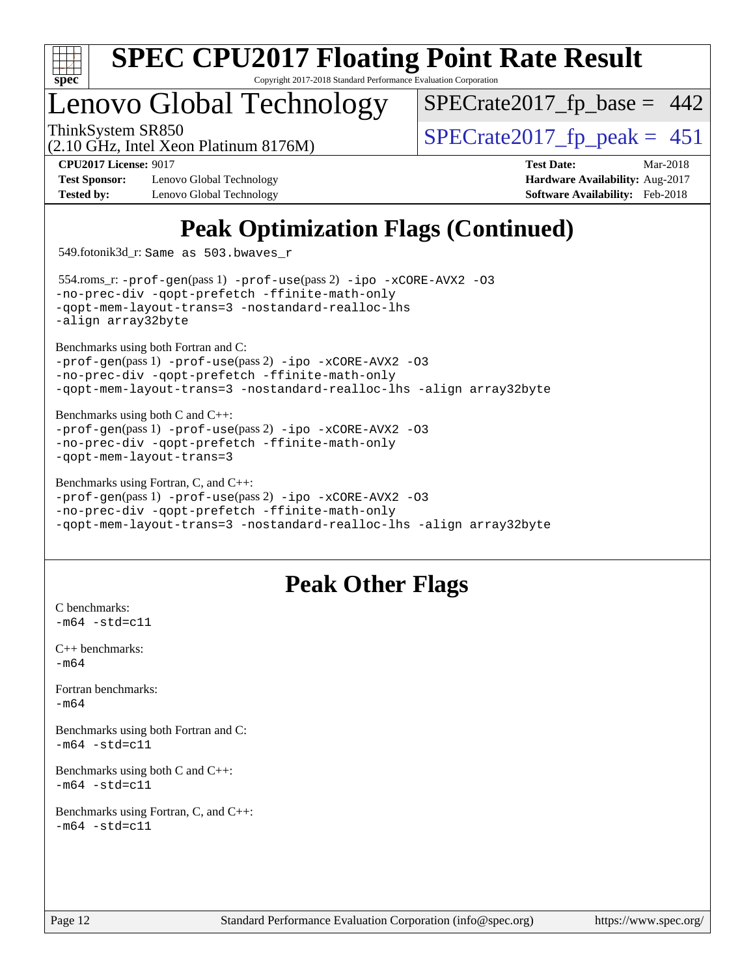

### Lenovo Global Technology

ThinkSystem SR850<br>(2.10 GHz, Intel Xeon Platinum 8176M)  $SPECrate2017_fp\_peak = 451$  $SPECTate2017_fp\_base = 442$ 

(2.10 GHz, Intel Xeon Platinum 8176M)

**[Test Sponsor:](http://www.spec.org/auto/cpu2017/Docs/result-fields.html#TestSponsor)** Lenovo Global Technology **[Hardware Availability:](http://www.spec.org/auto/cpu2017/Docs/result-fields.html#HardwareAvailability)** Aug-2017 **[Tested by:](http://www.spec.org/auto/cpu2017/Docs/result-fields.html#Testedby)** Lenovo Global Technology **[Software Availability:](http://www.spec.org/auto/cpu2017/Docs/result-fields.html#SoftwareAvailability)** Feb-2018

**[CPU2017 License:](http://www.spec.org/auto/cpu2017/Docs/result-fields.html#CPU2017License)** 9017 **[Test Date:](http://www.spec.org/auto/cpu2017/Docs/result-fields.html#TestDate)** Mar-2018

### **[Peak Optimization Flags \(Continued\)](http://www.spec.org/auto/cpu2017/Docs/result-fields.html#PeakOptimizationFlags)**

549.fotonik3d\_r: Same as 503.bwaves\_r

 554.roms\_r: [-prof-gen](http://www.spec.org/cpu2017/results/res2018q2/cpu2017-20180528-06024.flags.html#user_peakPASS1_FFLAGSPASS1_LDFLAGS554_roms_r_prof_gen_5aa4926d6013ddb2a31985c654b3eb18169fc0c6952a63635c234f711e6e63dd76e94ad52365559451ec499a2cdb89e4dc58ba4c67ef54ca681ffbe1461d6b36)(pass 1) [-prof-use](http://www.spec.org/cpu2017/results/res2018q2/cpu2017-20180528-06024.flags.html#user_peakPASS2_FFLAGSPASS2_LDFLAGS554_roms_r_prof_use_1a21ceae95f36a2b53c25747139a6c16ca95bd9def2a207b4f0849963b97e94f5260e30a0c64f4bb623698870e679ca08317ef8150905d41bd88c6f78df73f19)(pass 2) [-ipo](http://www.spec.org/cpu2017/results/res2018q2/cpu2017-20180528-06024.flags.html#user_peakPASS1_FOPTIMIZEPASS2_FOPTIMIZE554_roms_r_f-ipo) [-xCORE-AVX2](http://www.spec.org/cpu2017/results/res2018q2/cpu2017-20180528-06024.flags.html#user_peakPASS2_FOPTIMIZE554_roms_r_f-xCORE-AVX2) [-O3](http://www.spec.org/cpu2017/results/res2018q2/cpu2017-20180528-06024.flags.html#user_peakPASS1_FOPTIMIZEPASS2_FOPTIMIZE554_roms_r_f-O3) [-no-prec-div](http://www.spec.org/cpu2017/results/res2018q2/cpu2017-20180528-06024.flags.html#user_peakPASS1_FOPTIMIZEPASS2_FOPTIMIZE554_roms_r_f-no-prec-div) [-qopt-prefetch](http://www.spec.org/cpu2017/results/res2018q2/cpu2017-20180528-06024.flags.html#user_peakPASS1_FOPTIMIZEPASS2_FOPTIMIZE554_roms_r_f-qopt-prefetch) [-ffinite-math-only](http://www.spec.org/cpu2017/results/res2018q2/cpu2017-20180528-06024.flags.html#user_peakPASS1_FOPTIMIZEPASS2_FOPTIMIZE554_roms_r_f_finite_math_only_cb91587bd2077682c4b38af759c288ed7c732db004271a9512da14a4f8007909a5f1427ecbf1a0fb78ff2a814402c6114ac565ca162485bbcae155b5e4258871) [-qopt-mem-layout-trans=3](http://www.spec.org/cpu2017/results/res2018q2/cpu2017-20180528-06024.flags.html#user_peakPASS1_FOPTIMIZEPASS2_FOPTIMIZE554_roms_r_f-qopt-mem-layout-trans_de80db37974c74b1f0e20d883f0b675c88c3b01e9d123adea9b28688d64333345fb62bc4a798493513fdb68f60282f9a726aa07f478b2f7113531aecce732043) [-nostandard-realloc-lhs](http://www.spec.org/cpu2017/results/res2018q2/cpu2017-20180528-06024.flags.html#user_peakEXTRA_FOPTIMIZE554_roms_r_f_2003_std_realloc_82b4557e90729c0f113870c07e44d33d6f5a304b4f63d4c15d2d0f1fab99f5daaed73bdb9275d9ae411527f28b936061aa8b9c8f2d63842963b95c9dd6426b8a) [-align array32byte](http://www.spec.org/cpu2017/results/res2018q2/cpu2017-20180528-06024.flags.html#user_peakEXTRA_FOPTIMIZE554_roms_r_align_array32byte_b982fe038af199962ba9a80c053b8342c548c85b40b8e86eb3cc33dee0d7986a4af373ac2d51c3f7cf710a18d62fdce2948f201cd044323541f22fc0fffc51b6)

[Benchmarks using both Fortran and C](http://www.spec.org/auto/cpu2017/Docs/result-fields.html#BenchmarksusingbothFortranandC):

[-prof-gen](http://www.spec.org/cpu2017/results/res2018q2/cpu2017-20180528-06024.flags.html#user_CC_FCpeak_prof_gen_5aa4926d6013ddb2a31985c654b3eb18169fc0c6952a63635c234f711e6e63dd76e94ad52365559451ec499a2cdb89e4dc58ba4c67ef54ca681ffbe1461d6b36)(pass 1) [-prof-use](http://www.spec.org/cpu2017/results/res2018q2/cpu2017-20180528-06024.flags.html#user_CC_FCpeak_prof_use_1a21ceae95f36a2b53c25747139a6c16ca95bd9def2a207b4f0849963b97e94f5260e30a0c64f4bb623698870e679ca08317ef8150905d41bd88c6f78df73f19)(pass 2) [-ipo](http://www.spec.org/cpu2017/results/res2018q2/cpu2017-20180528-06024.flags.html#user_CC_FCpeak_f-ipo) [-xCORE-AVX2](http://www.spec.org/cpu2017/results/res2018q2/cpu2017-20180528-06024.flags.html#user_CC_FCpeak_f-xCORE-AVX2) [-O3](http://www.spec.org/cpu2017/results/res2018q2/cpu2017-20180528-06024.flags.html#user_CC_FCpeak_f-O3) [-no-prec-div](http://www.spec.org/cpu2017/results/res2018q2/cpu2017-20180528-06024.flags.html#user_CC_FCpeak_f-no-prec-div) [-qopt-prefetch](http://www.spec.org/cpu2017/results/res2018q2/cpu2017-20180528-06024.flags.html#user_CC_FCpeak_f-qopt-prefetch) [-ffinite-math-only](http://www.spec.org/cpu2017/results/res2018q2/cpu2017-20180528-06024.flags.html#user_CC_FCpeak_f_finite_math_only_cb91587bd2077682c4b38af759c288ed7c732db004271a9512da14a4f8007909a5f1427ecbf1a0fb78ff2a814402c6114ac565ca162485bbcae155b5e4258871) [-qopt-mem-layout-trans=3](http://www.spec.org/cpu2017/results/res2018q2/cpu2017-20180528-06024.flags.html#user_CC_FCpeak_f-qopt-mem-layout-trans_de80db37974c74b1f0e20d883f0b675c88c3b01e9d123adea9b28688d64333345fb62bc4a798493513fdb68f60282f9a726aa07f478b2f7113531aecce732043) [-nostandard-realloc-lhs](http://www.spec.org/cpu2017/results/res2018q2/cpu2017-20180528-06024.flags.html#user_CC_FCpeak_f_2003_std_realloc_82b4557e90729c0f113870c07e44d33d6f5a304b4f63d4c15d2d0f1fab99f5daaed73bdb9275d9ae411527f28b936061aa8b9c8f2d63842963b95c9dd6426b8a) [-align array32byte](http://www.spec.org/cpu2017/results/res2018q2/cpu2017-20180528-06024.flags.html#user_CC_FCpeak_align_array32byte_b982fe038af199962ba9a80c053b8342c548c85b40b8e86eb3cc33dee0d7986a4af373ac2d51c3f7cf710a18d62fdce2948f201cd044323541f22fc0fffc51b6)

[Benchmarks using both C and C++](http://www.spec.org/auto/cpu2017/Docs/result-fields.html#BenchmarksusingbothCandCXX):

[-prof-gen](http://www.spec.org/cpu2017/results/res2018q2/cpu2017-20180528-06024.flags.html#user_CC_CXXpeak_prof_gen_5aa4926d6013ddb2a31985c654b3eb18169fc0c6952a63635c234f711e6e63dd76e94ad52365559451ec499a2cdb89e4dc58ba4c67ef54ca681ffbe1461d6b36)(pass 1) [-prof-use](http://www.spec.org/cpu2017/results/res2018q2/cpu2017-20180528-06024.flags.html#user_CC_CXXpeak_prof_use_1a21ceae95f36a2b53c25747139a6c16ca95bd9def2a207b4f0849963b97e94f5260e30a0c64f4bb623698870e679ca08317ef8150905d41bd88c6f78df73f19)(pass 2) [-ipo](http://www.spec.org/cpu2017/results/res2018q2/cpu2017-20180528-06024.flags.html#user_CC_CXXpeak_f-ipo) [-xCORE-AVX2](http://www.spec.org/cpu2017/results/res2018q2/cpu2017-20180528-06024.flags.html#user_CC_CXXpeak_f-xCORE-AVX2) [-O3](http://www.spec.org/cpu2017/results/res2018q2/cpu2017-20180528-06024.flags.html#user_CC_CXXpeak_f-O3) [-no-prec-div](http://www.spec.org/cpu2017/results/res2018q2/cpu2017-20180528-06024.flags.html#user_CC_CXXpeak_f-no-prec-div) [-qopt-prefetch](http://www.spec.org/cpu2017/results/res2018q2/cpu2017-20180528-06024.flags.html#user_CC_CXXpeak_f-qopt-prefetch) [-ffinite-math-only](http://www.spec.org/cpu2017/results/res2018q2/cpu2017-20180528-06024.flags.html#user_CC_CXXpeak_f_finite_math_only_cb91587bd2077682c4b38af759c288ed7c732db004271a9512da14a4f8007909a5f1427ecbf1a0fb78ff2a814402c6114ac565ca162485bbcae155b5e4258871) [-qopt-mem-layout-trans=3](http://www.spec.org/cpu2017/results/res2018q2/cpu2017-20180528-06024.flags.html#user_CC_CXXpeak_f-qopt-mem-layout-trans_de80db37974c74b1f0e20d883f0b675c88c3b01e9d123adea9b28688d64333345fb62bc4a798493513fdb68f60282f9a726aa07f478b2f7113531aecce732043)

[Benchmarks using Fortran, C, and C++:](http://www.spec.org/auto/cpu2017/Docs/result-fields.html#BenchmarksusingFortranCandCXX)

```
-prof-gen(pass 1) -prof-use(pass 2) -ipo -xCORE-AVX2 -O3
-no-prec-div -qopt-prefetch -ffinite-math-only
-qopt-mem-layout-trans=3 -nostandard-realloc-lhs -align array32byte
```
### **[Peak Other Flags](http://www.spec.org/auto/cpu2017/Docs/result-fields.html#PeakOtherFlags)**

[C benchmarks](http://www.spec.org/auto/cpu2017/Docs/result-fields.html#Cbenchmarks):  $-m64 - std= c11$  $-m64 - std= c11$ 

```
C++ benchmarks: 
-m64Fortran benchmarks: 
-m64
```
[Benchmarks using both Fortran and C](http://www.spec.org/auto/cpu2017/Docs/result-fields.html#BenchmarksusingbothFortranandC):  $-m64 - std= c11$  $-m64 - std= c11$ 

[Benchmarks using both C and C++](http://www.spec.org/auto/cpu2017/Docs/result-fields.html#BenchmarksusingbothCandCXX):  $-m64 - std= c11$  $-m64 - std= c11$ 

[Benchmarks using Fortran, C, and C++:](http://www.spec.org/auto/cpu2017/Docs/result-fields.html#BenchmarksusingFortranCandCXX)  $-m64 - std= c11$  $-m64 - std= c11$